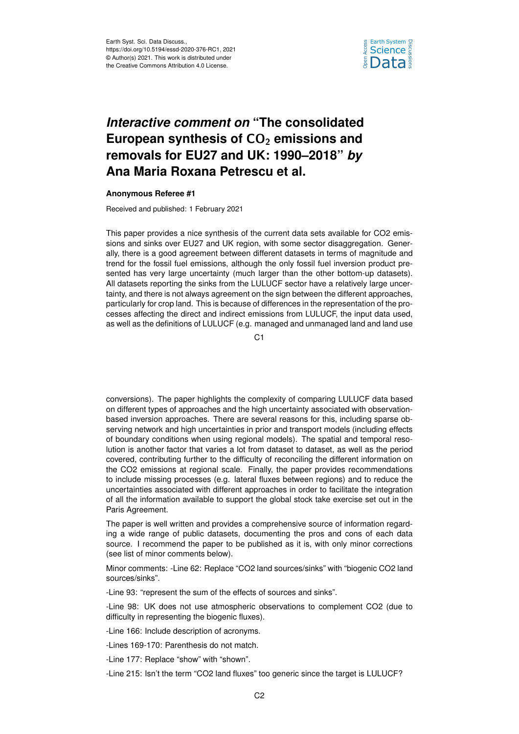

## *Interactive comment on* **"The consolidated** European synthesis of CO<sub>2</sub> emissions and **removals for EU27 and UK: 1990–2018"** *by* **Ana Maria Roxana Petrescu et al.**

## **Anonymous Referee #1**

Received and published: 1 February 2021

This paper provides a nice synthesis of the current data sets available for CO2 emissions and sinks over EU27 and UK region, with some sector disaggregation. Generally, there is a good agreement between different datasets in terms of magnitude and trend for the fossil fuel emissions, although the only fossil fuel inversion product presented has very large uncertainty (much larger than the other bottom-up datasets). All datasets reporting the sinks from the LULUCF sector have a relatively large uncertainty, and there is not always agreement on the sign between the different approaches, particularly for crop land. This is because of differences in the representation of the processes affecting the direct and indirect emissions from LULUCF, the input data used, as well as the definitions of LULUCF (e.g. managed and unmanaged land and land use

C1

conversions). The paper highlights the complexity of comparing LULUCF data based on different types of approaches and the high uncertainty associated with observationbased inversion approaches. There are several reasons for this, including sparse observing network and high uncertainties in prior and transport models (including effects of boundary conditions when using regional models). The spatial and temporal resolution is another factor that varies a lot from dataset to dataset, as well as the period covered, contributing further to the difficulty of reconciling the different information on the CO2 emissions at regional scale. Finally, the paper provides recommendations to include missing processes (e.g. lateral fluxes between regions) and to reduce the uncertainties associated with different approaches in order to facilitate the integration of all the information available to support the global stock take exercise set out in the Paris Agreement.

The paper is well written and provides a comprehensive source of information regarding a wide range of public datasets, documenting the pros and cons of each data source. I recommend the paper to be published as it is, with only minor corrections (see list of minor comments below).

Minor comments: -Line 62: Replace "CO2 land sources/sinks" with "biogenic CO2 land sources/sinks".

-Line 93: "represent the sum of the effects of sources and sinks".

-Line 98: UK does not use atmospheric observations to complement CO2 (due to difficulty in representing the biogenic fluxes).

-Line 166: Include description of acronyms.

-Lines 169-170: Parenthesis do not match.

-Line 177: Replace "show" with "shown".

-Line 215: Isn't the term "CO2 land fluxes" too generic since the target is LULUCF?